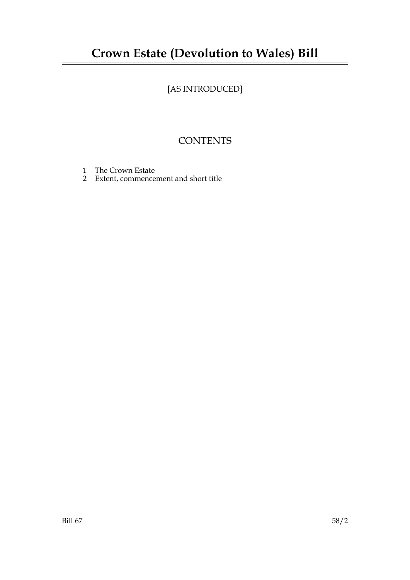# **Crown Estate (Devolution to Wales) Bill**

# [AS INTRODUCED]

## **CONTENTS**

- 1 The Crown Estate
- 2 Extent, commencement and short title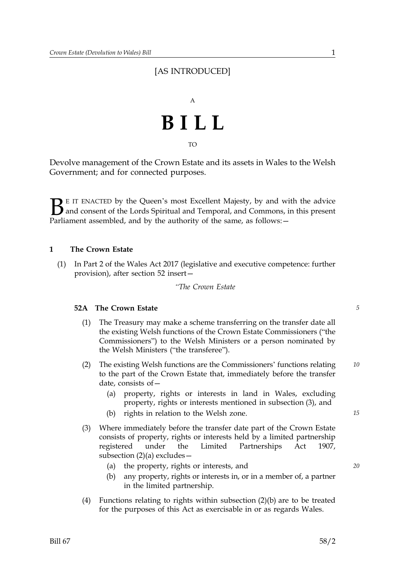### [AS INTRODUCED]



TO

Devolve management of the Crown Estate and its assets in Wales to the Welsh Government; and for connected purposes.

 $\sum$  E IT ENACTED by the Queen's most Excellent Majesty, by and with the advice<br>and consent of the Lords Spiritual and Temporal, and Commons, in this present<br>Parliament assembled, and by the authority of the same as follo and consent of the Lords Spiritual and Temporal, and Commons, in this present Parliament assembled, and by the authority of the same, as follows: -

#### **1 The Crown Estate**

(1) In Part 2 of the Wales Act 2017 (legislative and executive competence: further provision), after section 52 insert—

*"The Crown Estate* 

#### **52A The Crown Estate** *5*

- (1) The Treasury may make a scheme transferring on the transfer date all the existing Welsh functions of the Crown Estate Commissioners ("the Commissioners") to the Welsh Ministers or a person nominated by the Welsh Ministers ("the transferee").
- (2) The existing Welsh functions are the Commissioners' functions relating *10* to the part of the Crown Estate that, immediately before the transfer date, consists of—
	- (a) property, rights or interests in land in Wales, excluding property, rights or interests mentioned in subsection (3), and
	- (b) rights in relation to the Welsh zone. *15*
- (3) Where immediately before the transfer date part of the Crown Estate consists of property, rights or interests held by a limited partnership registered under the Limited Partnerships Act 1907, subsection (2)(a) excludes—
	- (a) the property, rights or interests, and *20*
	- (b) any property, rights or interests in, or in a member of, a partner in the limited partnership.
- (4) Functions relating to rights within subsection (2)(b) are to be treated for the purposes of this Act as exercisable in or as regards Wales.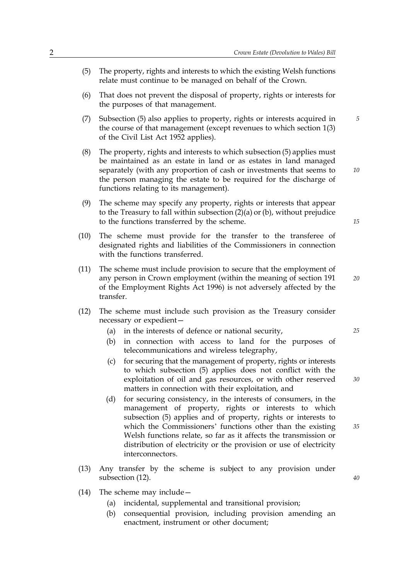- (5) The property, rights and interests to which the existing Welsh functions relate must continue to be managed on behalf of the Crown.
- (6) That does not prevent the disposal of property, rights or interests for the purposes of that management.
- (7) Subsection (5) also applies to property, rights or interests acquired in *5* the course of that management (except revenues to which section 1(3) of the Civil List Act 1952 applies).
- (8) The property, rights and interests to which subsection (5) applies must be maintained as an estate in land or as estates in land managed separately (with any proportion of cash or investments that seems to the person managing the estate to be required for the discharge of functions relating to its management).
- (9) The scheme may specify any property, rights or interests that appear to the Treasury to fall within subsection  $(2)(a)$  or  $(b)$ , without prejudice to the functions transferred by the scheme.
- (10) The scheme must provide for the transfer to the transferee of designated rights and liabilities of the Commissioners in connection with the functions transferred.
- (11) The scheme must include provision to secure that the employment of any person in Crown employment (within the meaning of section 191 of the Employment Rights Act 1996) is not adversely affected by the transfer.
- (12) The scheme must include such provision as the Treasury consider necessary or expedient—
	- (a) in the interests of defence or national security, *25*
	- (b) in connection with access to land for the purposes of telecommunications and wireless telegraphy,
	- (c) for securing that the management of property, rights or interests to which subsection (5) applies does not conflict with the exploitation of oil and gas resources, or with other reserved matters in connection with their exploitation, and
	- (d) for securing consistency, in the interests of consumers, in the management of property, rights or interests to which subsection (5) applies and of property, rights or interests to which the Commissioners' functions other than the existing Welsh functions relate, so far as it affects the transmission or distribution of electricity or the provision or use of electricity interconnectors.
- (13) Any transfer by the scheme is subject to any provision under subsection (12).
- (14) The scheme may include—
	- (a) incidental, supplemental and transitional provision;
	- (b) consequential provision, including provision amending an enactment, instrument or other document;

*15*

*10*

*20*

*30*

*35*

*40*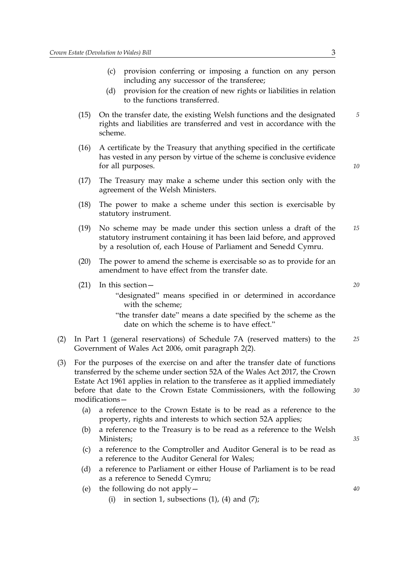- (c) provision conferring or imposing a function on any person including any successor of the transferee;
- (d) provision for the creation of new rights or liabilities in relation to the functions transferred.
- (15) On the transfer date, the existing Welsh functions and the designated *5* rights and liabilities are transferred and vest in accordance with the scheme.
- (16) A certificate by the Treasury that anything specified in the certificate has vested in any person by virtue of the scheme is conclusive evidence for all purposes.
- (17) The Treasury may make a scheme under this section only with the agreement of the Welsh Ministers.
- (18) The power to make a scheme under this section is exercisable by statutory instrument.
- (19) No scheme may be made under this section unless a draft of the *15* statutory instrument containing it has been laid before, and approved by a resolution of, each House of Parliament and Senedd Cymru.
- (20) The power to amend the scheme is exercisable so as to provide for an amendment to have effect from the transfer date.
- (21) In this section— *20*
	- "designated" means specified in or determined in accordance with the scheme;
	- "the transfer date" means a date specified by the scheme as the date on which the scheme is to have effect."
- (2) In Part 1 (general reservations) of Schedule 7A (reserved matters) to the *25* Government of Wales Act 2006, omit paragraph 2(2).
- (3) For the purposes of the exercise on and after the transfer date of functions transferred by the scheme under section 52A of the Wales Act 2017, the Crown Estate Act 1961 applies in relation to the transferee as it applied immediately before that date to the Crown Estate Commissioners, with the following modifications—
	- (a) a reference to the Crown Estate is to be read as a reference to the property, rights and interests to which section 52A applies;
	- (b) a reference to the Treasury is to be read as a reference to the Welsh Ministers;
	- (c) a reference to the Comptroller and Auditor General is to be read as a reference to the Auditor General for Wales;
	- (d) a reference to Parliament or either House of Parliament is to be read as a reference to Senedd Cymru;
	- (e) the following do not apply— *40*
		- (i) in section 1, subsections  $(1)$ ,  $(4)$  and  $(7)$ ;

*10*

*35*

*30*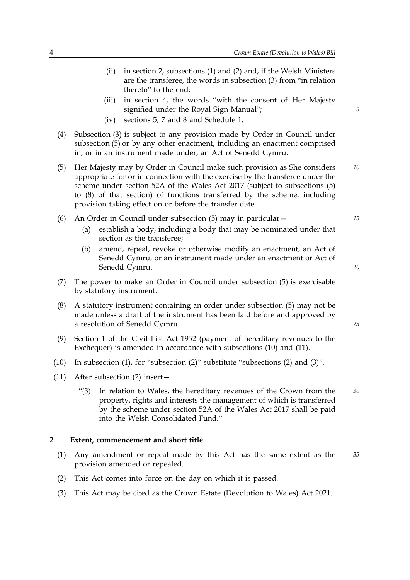- (ii) in section 2, subsections (1) and (2) and, if the Welsh Ministers are the transferee, the words in subsection (3) from "in relation thereto" to the end; (iii) *5* in section 4, the words "with the consent of Her Majesty signified under the Royal Sign Manual"; (iv) sections 5, 7 and 8 and Schedule 1. (4) Subsection (3) is subject to any provision made by Order in Council under subsection (5) or by any other enactment, including an enactment comprised in, or in an instrument made under, an Act of Senedd Cymru. (5) Her Majesty may by Order in Council make such provision as She considers *10* appropriate for or in connection with the exercise by the transferee under the scheme under section 52A of the Wales Act 2017 (subject to subsections (5) to (8) of that section) of functions transferred by the scheme, including provision taking effect on or before the transfer date. (6) An Order in Council under subsection (5) may in particular— *15* (a) establish a body, including a body that may be nominated under that section as the transferee; (b) amend, repeal, revoke or otherwise modify an enactment, an Act of *20* Senedd Cymru, or an instrument made under an enactment or Act of Senedd Cymru. (7) The power to make an Order in Council under subsection (5) is exercisable by statutory instrument. (8) A statutory instrument containing an order under subsection (5) may not be *25* made unless a draft of the instrument has been laid before and approved by a resolution of Senedd Cymru. (9) Section 1 of the Civil List Act 1952 (payment of hereditary revenues to the Exchequer) is amended in accordance with subsections (10) and (11). (10) In subsection (1), for "subsection (2)" substitute "subsections (2) and (3)". (11) After subsection (2) insert— "(3) In relation to Wales, the hereditary revenues of the Crown from the *30*
	- property, rights and interests the management of which is transferred by the scheme under section 52A of the Wales Act 2017 shall be paid into the Welsh Consolidated Fund."

#### **2 Extent, commencement and short title**

- (1) Any amendment or repeal made by this Act has the same extent as the *35* provision amended or repealed.
- (2) This Act comes into force on the day on which it is passed.
- (3) This Act may be cited as the Crown Estate (Devolution to Wales) Act 2021.